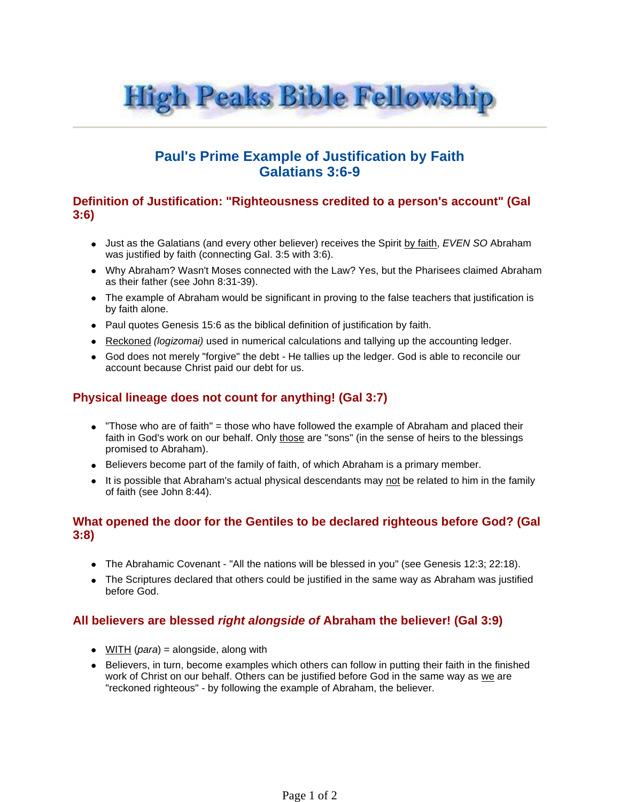

# **Paul's Prime Example of Justification by Faith Galatians 3:6-9**

#### **Definition of Justification: "Righteousness credited to a person's account" (Gal 3:6)**

- Just as the Galatians (and every other believer) receives the Spirit by faith, EVEN SO Abraham was justified by faith (connecting Gal. 3:5 with 3:6).
- Why Abraham? Wasn't Moses connected with the Law? Yes, but the Pharisees claimed Abraham as their father (see John 8:31-39).
- The example of Abraham would be significant in proving to the false teachers that justification is by faith alone.
- Paul quotes Genesis 15:6 as the biblical definition of justification by faith.
- Reckoned *(logizomai)* used in numerical calculations and tallying up the accounting ledger.
- God does not merely "forgive" the debt He tallies up the ledger. God is able to reconcile our account because Christ paid our debt for us.

## **Physical lineage does not count for anything! (Gal 3:7)**

- "Those who are of faith" = those who have followed the example of Abraham and placed their faith in God's work on our behalf. Only those are "sons" (in the sense of heirs to the blessings promised to Abraham).
- Believers become part of the family of faith, of which Abraham is a primary member.
- It is possible that Abraham's actual physical descendants may not be related to him in the family of faith (see John 8:44).

## **What opened the door for the Gentiles to be declared righteous before God? (Gal 3:8)**

- The Abrahamic Covenant "All the nations will be blessed in you" (see Genesis 12:3; 22:18).
- The Scriptures declared that others could be justified in the same way as Abraham was justified before God.

## **All believers are blessed right alongside of Abraham the believer! (Gal 3:9)**

- $\bullet$  WITH (*para*) = alongside, along with
- Believers, in turn, become examples which others can follow in putting their faith in the finished work of Christ on our behalf. Others can be justified before God in the same way as we are "reckoned righteous" - by following the example of Abraham, the believer.